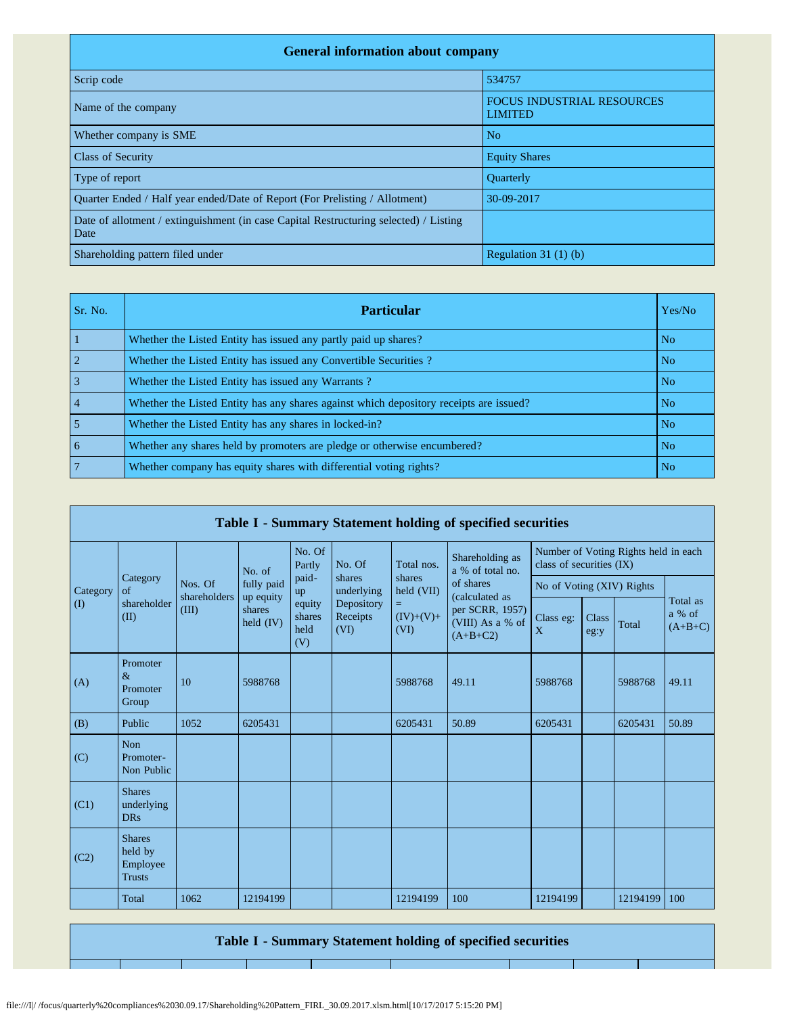| <b>General information about company</b>                                                      |                                                     |  |  |  |  |  |  |  |
|-----------------------------------------------------------------------------------------------|-----------------------------------------------------|--|--|--|--|--|--|--|
| Scrip code                                                                                    | 534757                                              |  |  |  |  |  |  |  |
| Name of the company                                                                           | <b>FOCUS INDUSTRIAL RESOURCES</b><br><b>LIMITED</b> |  |  |  |  |  |  |  |
| Whether company is SME                                                                        | N <sub>o</sub>                                      |  |  |  |  |  |  |  |
| <b>Class of Security</b>                                                                      | <b>Equity Shares</b>                                |  |  |  |  |  |  |  |
| Type of report                                                                                | <b>Ouarterly</b>                                    |  |  |  |  |  |  |  |
| Ouarter Ended / Half year ended/Date of Report (For Prelisting / Allotment)                   | 30-09-2017                                          |  |  |  |  |  |  |  |
| Date of allotment / extinguishment (in case Capital Restructuring selected) / Listing<br>Date |                                                     |  |  |  |  |  |  |  |
| Shareholding pattern filed under                                                              | Regulation $31(1)(b)$                               |  |  |  |  |  |  |  |

| Sr. No.        | <b>Particular</b>                                                                      | Yes/No         |
|----------------|----------------------------------------------------------------------------------------|----------------|
|                | Whether the Listed Entity has issued any partly paid up shares?                        | N <sub>o</sub> |
| $\overline{2}$ | Whether the Listed Entity has issued any Convertible Securities?                       | N <sub>o</sub> |
| $\overline{3}$ | Whether the Listed Entity has issued any Warrants?                                     | N <sub>o</sub> |
| $\vert$ 4      | Whether the Listed Entity has any shares against which depository receipts are issued? | N <sub>o</sub> |
| $\overline{5}$ | Whether the Listed Entity has any shares in locked-in?                                 | N <sub>o</sub> |
| l 6            | Whether any shares held by promoters are pledge or otherwise encumbered?               | N <sub>o</sub> |
| $\overline{7}$ | Whether company has equity shares with differential voting rights?                     | N <sub>o</sub> |

|             |                                                       |                         |                                  |                                 |                                |                           | Table I - Summary Statement holding of specified securities |                                                                  |               |          |                                 |
|-------------|-------------------------------------------------------|-------------------------|----------------------------------|---------------------------------|--------------------------------|---------------------------|-------------------------------------------------------------|------------------------------------------------------------------|---------------|----------|---------------------------------|
|             |                                                       |                         | No. of                           | No. Of<br>Partly                | No. Of                         | Total nos.                | Shareholding as<br>a % of total no.                         | Number of Voting Rights held in each<br>class of securities (IX) |               |          |                                 |
| Category    | Category<br>$\alpha$ f                                | Nos. Of<br>shareholders | fully paid                       | paid-<br>up                     | shares<br>underlying           | shares<br>held (VII)      | of shares<br>(calculated as                                 | No of Voting (XIV) Rights                                        |               |          |                                 |
| $($ $($ $)$ | shareholder<br>(II)                                   | (III)                   | up equity<br>shares<br>held (IV) | equity<br>shares<br>held<br>(V) | Depository<br>Receipts<br>(VI) | Ξ,<br>$(IV)+(V)+$<br>(VI) | per SCRR, 1957)<br>(VIII) As a % of<br>$(A+B+C2)$           | Class eg:<br>X                                                   | Class<br>eg:y | Total    | Total as<br>a % of<br>$(A+B+C)$ |
| (A)         | Promoter<br>$\&$<br>Promoter<br>Group                 | 10                      | 5988768                          |                                 |                                | 5988768                   | 49.11                                                       | 5988768                                                          |               | 5988768  | 49.11                           |
| (B)         | Public                                                | 1052                    | 6205431                          |                                 |                                | 6205431                   | 50.89                                                       | 6205431                                                          |               | 6205431  | 50.89                           |
| (C)         | <b>Non</b><br>Promoter-<br>Non Public                 |                         |                                  |                                 |                                |                           |                                                             |                                                                  |               |          |                                 |
| (C1)        | <b>Shares</b><br>underlying<br><b>DRs</b>             |                         |                                  |                                 |                                |                           |                                                             |                                                                  |               |          |                                 |
| (C2)        | <b>Shares</b><br>held by<br>Employee<br><b>Trusts</b> |                         |                                  |                                 |                                |                           |                                                             |                                                                  |               |          |                                 |
|             | Total                                                 | 1062                    | 12194199                         |                                 |                                | 12194199                  | 100                                                         | 12194199                                                         |               | 12194199 | 100                             |

**Table I - Summary Statement holding of specified securities**

file:///I|/ /focus/quarterly%20compliances%2030.09.17/Shareholding%20Pattern\_FIRL\_30.09.2017.xlsm.html[10/17/2017 5:15:20 PM]

┱

т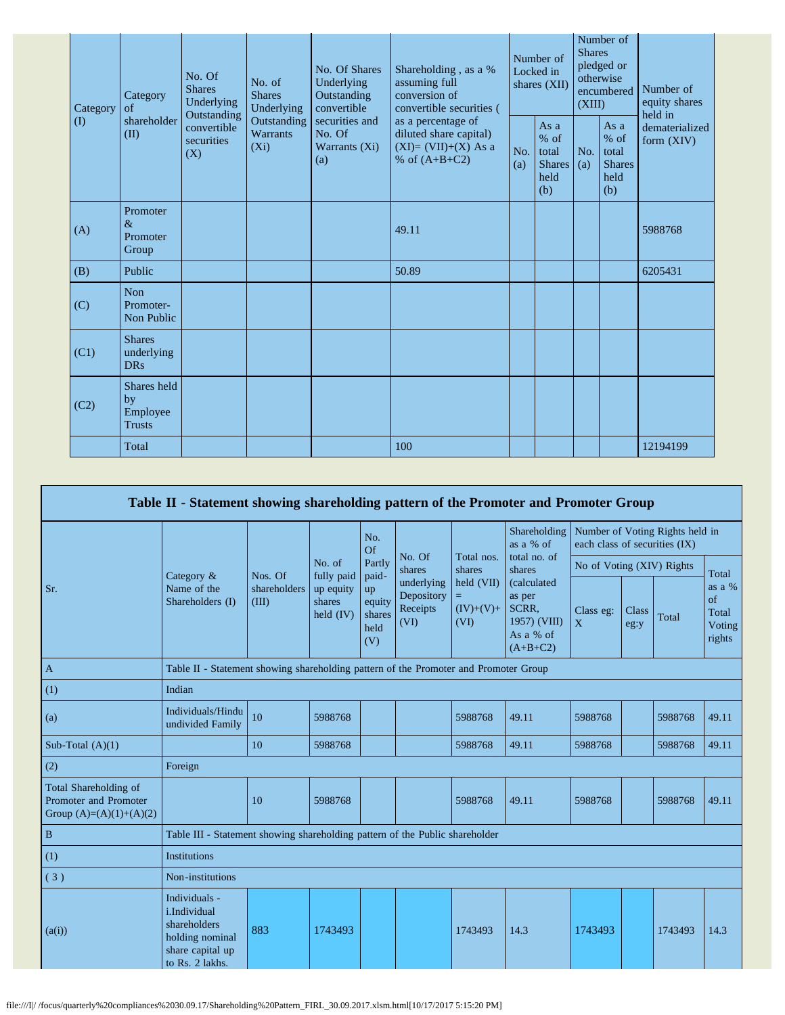| Category | Category<br>of                                 | No. Of<br><b>Shares</b><br>Underlying<br>Outstanding | No. of<br><b>Shares</b><br>Underlying     | No. Of Shares<br>Underlying<br>Outstanding<br>convertible | Shareholding, as a %<br>assuming full<br>conversion of<br>convertible securities (       | Number of<br>Locked in<br>shares (XII) |                                                         | Number of<br><b>Shares</b><br>pledged or<br>otherwise<br>encumbered<br>(XIII) |                                                         | Number of<br>equity shares<br>held in |
|----------|------------------------------------------------|------------------------------------------------------|-------------------------------------------|-----------------------------------------------------------|------------------------------------------------------------------------------------------|----------------------------------------|---------------------------------------------------------|-------------------------------------------------------------------------------|---------------------------------------------------------|---------------------------------------|
| $\rm(D)$ | shareholder<br>(II)                            | convertible<br>securities<br>(X)                     | Outstanding<br><b>Warrants</b><br>$(X_i)$ | securities and<br>No. Of<br>Warrants (Xi)<br>(a)          | as a percentage of<br>diluted share capital)<br>$(XI)=(VII)+(X) As a$<br>% of $(A+B+C2)$ | No.<br>(a)                             | As a<br>$%$ of<br>total<br><b>Shares</b><br>held<br>(b) | No.<br>(a)                                                                    | As a<br>$%$ of<br>total<br><b>Shares</b><br>held<br>(b) | dematerialized<br>form $(XIV)$        |
| (A)      | Promoter<br>$\&$<br>Promoter<br>Group          |                                                      |                                           |                                                           | 49.11                                                                                    |                                        |                                                         |                                                                               |                                                         | 5988768                               |
| (B)      | Public                                         |                                                      |                                           |                                                           | 50.89                                                                                    |                                        |                                                         |                                                                               |                                                         | 6205431                               |
| (C)      | <b>Non</b><br>Promoter-<br>Non Public          |                                                      |                                           |                                                           |                                                                                          |                                        |                                                         |                                                                               |                                                         |                                       |
| (C1)     | <b>Shares</b><br>underlying<br><b>DRs</b>      |                                                      |                                           |                                                           |                                                                                          |                                        |                                                         |                                                                               |                                                         |                                       |
| (C2)     | Shares held<br>by<br>Employee<br><b>Trusts</b> |                                                      |                                           |                                                           |                                                                                          |                                        |                                                         |                                                                               |                                                         |                                       |
|          | Total                                          |                                                      |                                           |                                                           | 100                                                                                      |                                        |                                                         |                                                                               |                                                         | 12194199                              |

|                                                                             | Table II - Statement showing shareholding pattern of the Promoter and Promoter Group                    |                       |                                                  |                                                |                                              |                                        |                                                                           |                                                                  |                      |         |                                                    |
|-----------------------------------------------------------------------------|---------------------------------------------------------------------------------------------------------|-----------------------|--------------------------------------------------|------------------------------------------------|----------------------------------------------|----------------------------------------|---------------------------------------------------------------------------|------------------------------------------------------------------|----------------------|---------|----------------------------------------------------|
|                                                                             |                                                                                                         |                       |                                                  | No.<br>Of                                      |                                              |                                        | Shareholding<br>as a % of                                                 | Number of Voting Rights held in<br>each class of securities (IX) |                      |         |                                                    |
|                                                                             |                                                                                                         | Nos. Of               | No. of                                           | Partly                                         | No. Of<br>shares                             | Total nos.<br>shares                   | total no. of<br>shares                                                    | No of Voting (XIV) Rights                                        |                      |         | Total<br>as a %<br>of<br>Total<br>Voting<br>rights |
| Sr.                                                                         | Category $\&$<br>Name of the<br>Shareholders (I)                                                        | shareholders<br>(III) | fully paid<br>up equity<br>shares<br>held $(IV)$ | paid-<br>up<br>equity<br>shares<br>held<br>(V) | underlying<br>Depository<br>Receipts<br>(VI) | held (VII)<br>=<br>$(IV)+(V)+$<br>(VI) | (calculated<br>as per<br>SCRR.<br>1957) (VIII)<br>As a % of<br>$(A+B+C2)$ | Class eg:<br>$\overline{X}$                                      | <b>Class</b><br>eg:y | Total   |                                                    |
| $\mathbf{A}$                                                                | Table II - Statement showing shareholding pattern of the Promoter and Promoter Group                    |                       |                                                  |                                                |                                              |                                        |                                                                           |                                                                  |                      |         |                                                    |
| (1)                                                                         | Indian                                                                                                  |                       |                                                  |                                                |                                              |                                        |                                                                           |                                                                  |                      |         |                                                    |
| (a)                                                                         | Individuals/Hindu<br>undivided Family                                                                   | 10                    | 5988768                                          |                                                |                                              | 5988768                                | 49.11                                                                     | 5988768                                                          |                      | 5988768 | 49.11                                              |
| Sub-Total $(A)(1)$                                                          |                                                                                                         | 10                    | 5988768                                          |                                                |                                              | 5988768                                | 49.11                                                                     | 5988768                                                          |                      | 5988768 | 49.11                                              |
| (2)                                                                         | Foreign                                                                                                 |                       |                                                  |                                                |                                              |                                        |                                                                           |                                                                  |                      |         |                                                    |
| Total Shareholding of<br>Promoter and Promoter<br>Group $(A)=(A)(1)+(A)(2)$ |                                                                                                         | 10                    | 5988768                                          |                                                |                                              | 5988768                                | 49.11                                                                     | 5988768                                                          |                      | 5988768 | 49.11                                              |
| $\bf{B}$                                                                    | Table III - Statement showing shareholding pattern of the Public shareholder                            |                       |                                                  |                                                |                                              |                                        |                                                                           |                                                                  |                      |         |                                                    |
| (1)                                                                         | Institutions                                                                                            |                       |                                                  |                                                |                                              |                                        |                                                                           |                                                                  |                      |         |                                                    |
| (3)                                                                         | Non-institutions                                                                                        |                       |                                                  |                                                |                                              |                                        |                                                                           |                                                                  |                      |         |                                                    |
| (a(i))                                                                      | Individuals -<br>i.Individual<br>shareholders<br>holding nominal<br>share capital up<br>to Rs. 2 lakhs. | 883                   | 1743493                                          |                                                |                                              | 1743493                                | 14.3                                                                      | 1743493                                                          |                      | 1743493 | 14.3                                               |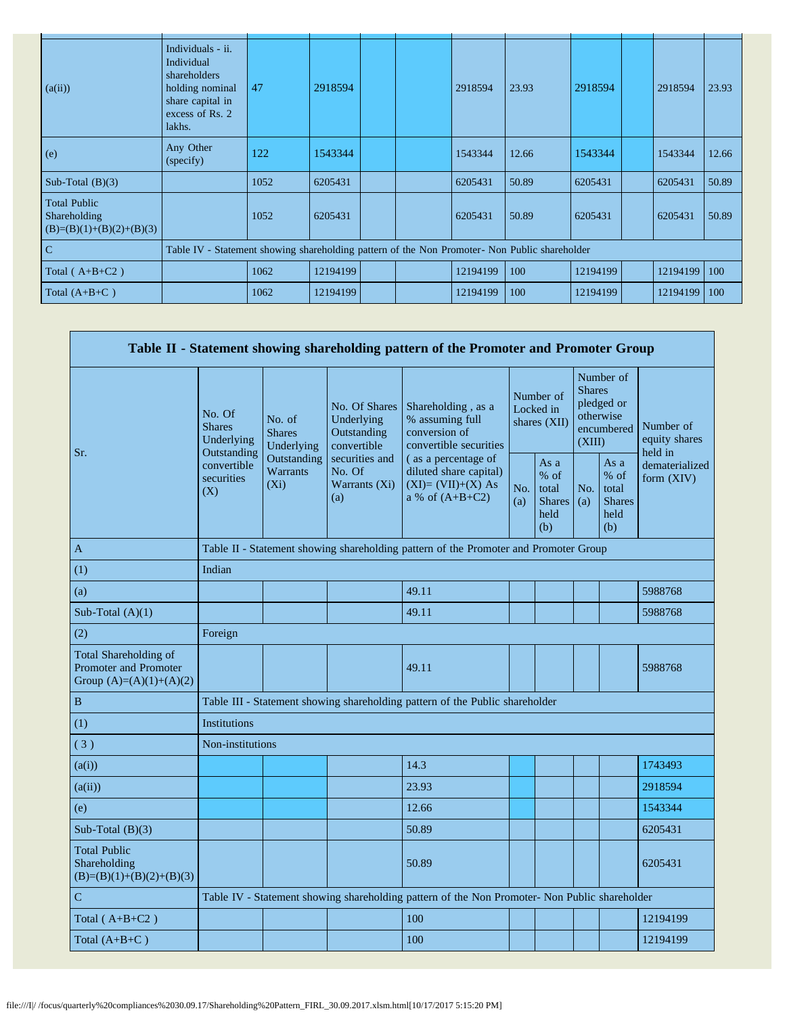| (a(ii))                                                           | Individuals - ii.<br>Individual<br>shareholders<br>holding nominal<br>share capital in<br>excess of Rs. 2<br>lakhs. | 47   | 2918594  |  |  | 2918594  | 23.93 | 2918594  | 2918594  | 23.93 |
|-------------------------------------------------------------------|---------------------------------------------------------------------------------------------------------------------|------|----------|--|--|----------|-------|----------|----------|-------|
| (e)                                                               | Any Other<br>(specify)                                                                                              | 122  | 1543344  |  |  | 1543344  | 12.66 | 1543344  | 1543344  | 12.66 |
| Sub-Total $(B)(3)$                                                |                                                                                                                     | 1052 | 6205431  |  |  | 6205431  | 50.89 | 6205431  | 6205431  | 50.89 |
| <b>Total Public</b><br>Shareholding<br>$(B)=(B)(1)+(B)(2)+(B)(3)$ |                                                                                                                     | 1052 | 6205431  |  |  | 6205431  | 50.89 | 6205431  | 6205431  | 50.89 |
| $\overline{C}$                                                    | Table IV - Statement showing shareholding pattern of the Non Promoter- Non Public shareholder                       |      |          |  |  |          |       |          |          |       |
| Total $(A+B+C2)$                                                  |                                                                                                                     | 1062 | 12194199 |  |  | 12194199 | 100   | 12194199 | 12194199 | 100   |
| Total $(A+B+C)$                                                   |                                                                                                                     | 1062 | 12194199 |  |  | 12194199 | 100   | 12194199 | 12194199 | 100   |

|                                                                                    |                                                      |                                                                                               |                                                           | Table II - Statement showing shareholding pattern of the Promoter and Promoter Group      |                                          |                                                         |                         |                                                         |                                       |
|------------------------------------------------------------------------------------|------------------------------------------------------|-----------------------------------------------------------------------------------------------|-----------------------------------------------------------|-------------------------------------------------------------------------------------------|------------------------------------------|---------------------------------------------------------|-------------------------|---------------------------------------------------------|---------------------------------------|
| Sr.                                                                                | No. Of<br><b>Shares</b><br>Underlying<br>Outstanding | No. of<br><b>Shares</b><br>Underlying                                                         | No. Of Shares<br>Underlying<br>Outstanding<br>convertible | Shareholding, as a<br>% assuming full<br>conversion of<br>convertible securities          | Number of<br>Locked in<br>shares $(XII)$ |                                                         | <b>Shares</b><br>(XIII) | Number of<br>pledged or<br>otherwise<br>encumbered      | Number of<br>equity shares<br>held in |
|                                                                                    | convertible<br>securities<br>(X)                     | Outstanding<br>Warrants<br>$(X_i)$                                                            | securities and<br>No. Of<br>Warrants (Xi)<br>(a)          | (as a percentage of<br>diluted share capital)<br>$(XI)=(VII)+(X) As$<br>a % of $(A+B+C2)$ | No.<br>(a)                               | As a<br>$%$ of<br>total<br><b>Shares</b><br>held<br>(b) | No.<br>(a)              | As a<br>$%$ of<br>total<br><b>Shares</b><br>held<br>(b) | dematerialized<br>form (XIV)          |
| $\mathbf{A}$                                                                       |                                                      |                                                                                               |                                                           | Table II - Statement showing shareholding pattern of the Promoter and Promoter Group      |                                          |                                                         |                         |                                                         |                                       |
| (1)                                                                                | Indian                                               |                                                                                               |                                                           |                                                                                           |                                          |                                                         |                         |                                                         |                                       |
| (a)                                                                                |                                                      |                                                                                               |                                                           | 49.11                                                                                     |                                          |                                                         |                         |                                                         | 5988768                               |
| Sub-Total $(A)(1)$                                                                 |                                                      |                                                                                               |                                                           | 49.11                                                                                     |                                          |                                                         |                         |                                                         | 5988768                               |
| (2)                                                                                | Foreign                                              |                                                                                               |                                                           |                                                                                           |                                          |                                                         |                         |                                                         |                                       |
| Total Shareholding of<br><b>Promoter and Promoter</b><br>Group $(A)=(A)(1)+(A)(2)$ |                                                      |                                                                                               |                                                           | 49.11                                                                                     |                                          |                                                         |                         |                                                         | 5988768                               |
| $\, {\bf B}$                                                                       |                                                      |                                                                                               |                                                           | Table III - Statement showing shareholding pattern of the Public shareholder              |                                          |                                                         |                         |                                                         |                                       |
| (1)                                                                                | Institutions                                         |                                                                                               |                                                           |                                                                                           |                                          |                                                         |                         |                                                         |                                       |
| (3)                                                                                | Non-institutions                                     |                                                                                               |                                                           |                                                                                           |                                          |                                                         |                         |                                                         |                                       |
| (a(i))                                                                             |                                                      |                                                                                               |                                                           | 14.3                                                                                      |                                          |                                                         |                         |                                                         | 1743493                               |
| (a(ii))                                                                            |                                                      |                                                                                               |                                                           | 23.93                                                                                     |                                          |                                                         |                         |                                                         | 2918594                               |
| (e)                                                                                |                                                      |                                                                                               |                                                           | 12.66                                                                                     |                                          |                                                         |                         |                                                         | 1543344                               |
| Sub-Total $(B)(3)$                                                                 |                                                      |                                                                                               |                                                           | 50.89                                                                                     |                                          |                                                         |                         |                                                         | 6205431                               |
| <b>Total Public</b><br>Shareholding<br>$(B)=(B)(1)+(B)(2)+(B)(3)$                  |                                                      |                                                                                               |                                                           | 50.89                                                                                     |                                          |                                                         |                         |                                                         | 6205431                               |
| $\overline{C}$                                                                     |                                                      | Table IV - Statement showing shareholding pattern of the Non Promoter- Non Public shareholder |                                                           |                                                                                           |                                          |                                                         |                         |                                                         |                                       |
| Total $(A+B+C2)$                                                                   |                                                      | 100<br>12194199                                                                               |                                                           |                                                                                           |                                          |                                                         |                         |                                                         |                                       |
| Total $(A+B+C)$                                                                    |                                                      |                                                                                               |                                                           | 100                                                                                       |                                          |                                                         |                         |                                                         | 12194199                              |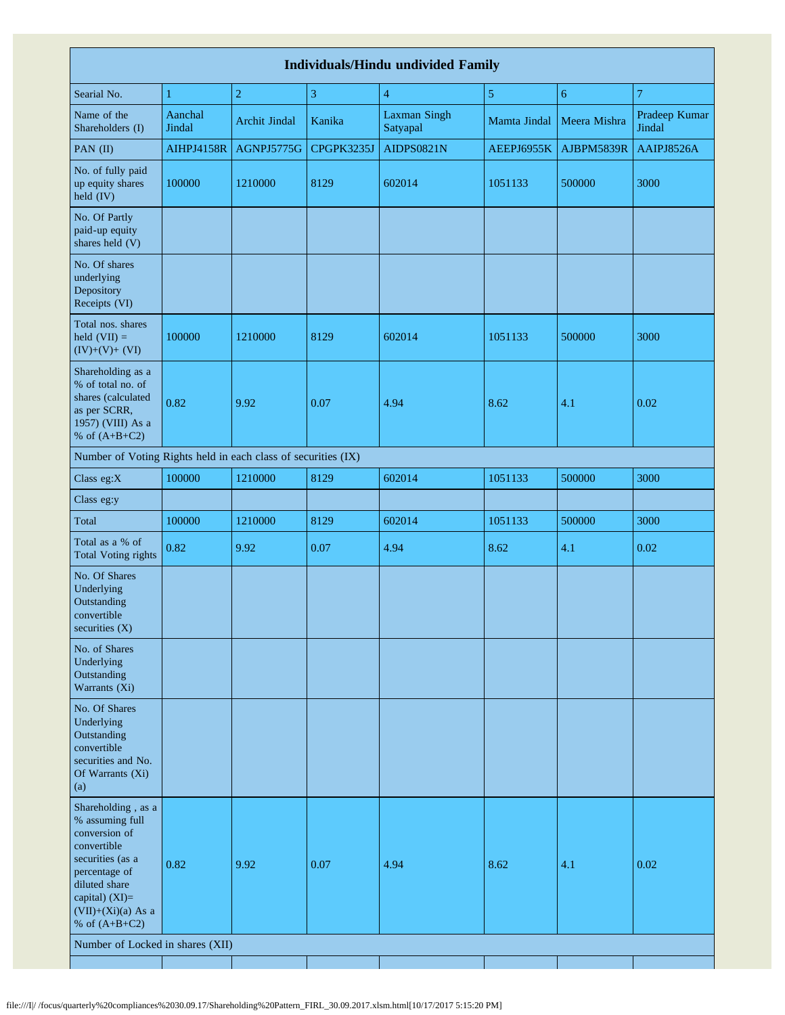|                                                                                                                                                                                          |                   |                      |            | <b>Individuals/Hindu undivided Family</b> |                |              |                         |
|------------------------------------------------------------------------------------------------------------------------------------------------------------------------------------------|-------------------|----------------------|------------|-------------------------------------------|----------------|--------------|-------------------------|
| Searial No.                                                                                                                                                                              | $\mathbf{1}$      | $\overline{2}$       | 3          | $\overline{4}$                            | $\overline{5}$ | 6            | $\overline{7}$          |
| Name of the<br>Shareholders (I)                                                                                                                                                          | Aanchal<br>Jindal | <b>Archit Jindal</b> | Kanika     | <b>Laxman Singh</b><br>Satyapal           | Mamta Jindal   | Meera Mishra | Pradeep Kumar<br>Jindal |
| PAN (II)                                                                                                                                                                                 | <b>AIHPJ4158R</b> | AGNPJ5775G           | CPGPK3235J | AIDPS0821N                                | AEEPJ6955K     | AJBPM5839R   | AAIPJ8526A              |
| No. of fully paid<br>up equity shares<br>held (IV)                                                                                                                                       | 100000            | 1210000              | 8129       | 602014                                    | 1051133        | 500000       | 3000                    |
| No. Of Partly<br>paid-up equity<br>shares held (V)                                                                                                                                       |                   |                      |            |                                           |                |              |                         |
| No. Of shares<br>underlying<br>Depository<br>Receipts (VI)                                                                                                                               |                   |                      |            |                                           |                |              |                         |
| Total nos. shares<br>held $(VII) =$<br>$(IV)+(V)+(VI)$                                                                                                                                   | 100000            | 1210000              | 8129       | 602014                                    | 1051133        | 500000       | 3000                    |
| Shareholding as a<br>% of total no. of<br>shares (calculated<br>as per SCRR,<br>1957) (VIII) As a<br>% of $(A+B+C2)$                                                                     | 0.82              | 9.92                 | 0.07       | 4.94                                      | 8.62           | 4.1          | 0.02                    |
| Number of Voting Rights held in each class of securities (IX)                                                                                                                            |                   |                      |            |                                           |                |              |                         |
| Class eg:X                                                                                                                                                                               | 100000            | 1210000              | 8129       | 602014                                    | 1051133        | 500000       | 3000                    |
| Class eg:y                                                                                                                                                                               |                   |                      |            |                                           |                |              |                         |
| Total                                                                                                                                                                                    | 100000            | 1210000              | 8129       | 602014                                    | 1051133        | 500000       | 3000                    |
| Total as a % of<br><b>Total Voting rights</b>                                                                                                                                            | 0.82              | 9.92                 | 0.07       | 4.94                                      | 8.62           | 4.1          | 0.02                    |
| No. Of Shares<br>Underlying<br>Outstanding<br>convertible<br>securities (X)                                                                                                              |                   |                      |            |                                           |                |              |                         |
| No. of Shares<br>Underlying<br>Outstanding<br>Warrants (Xi)                                                                                                                              |                   |                      |            |                                           |                |              |                         |
| No. Of Shares<br>Underlying<br>Outstanding<br>convertible<br>securities and No.<br>Of Warrants (Xi)<br>(a)                                                                               |                   |                      |            |                                           |                |              |                         |
| Shareholding, as a<br>% assuming full<br>conversion of<br>convertible<br>securities (as a<br>percentage of<br>diluted share<br>capital) (XI)=<br>$(VII)+(Xi)(a)$ As a<br>% of $(A+B+C2)$ | 0.82              | 9.92                 | 0.07       | 4.94                                      | 8.62           | 4.1          | 0.02                    |
| Number of Locked in shares (XII)                                                                                                                                                         |                   |                      |            |                                           |                |              |                         |
|                                                                                                                                                                                          |                   |                      |            |                                           |                |              |                         |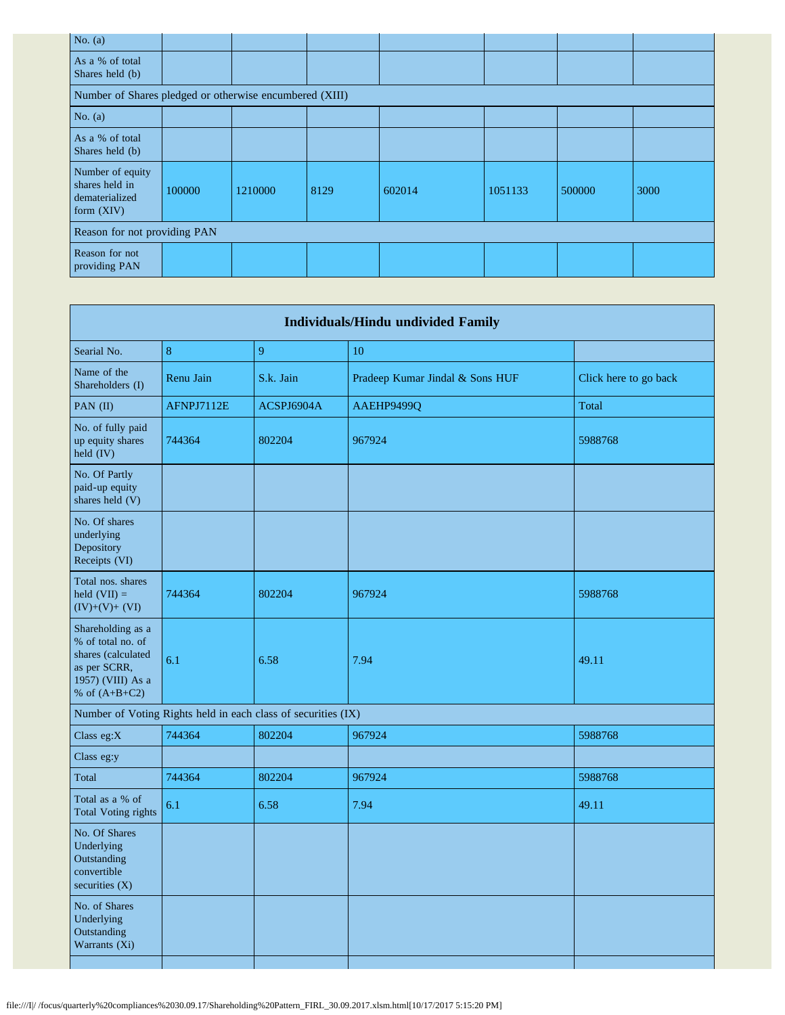| No. $(a)$                                                            |        |         |      |        |         |        |      |
|----------------------------------------------------------------------|--------|---------|------|--------|---------|--------|------|
| As a % of total<br>Shares held (b)                                   |        |         |      |        |         |        |      |
| Number of Shares pledged or otherwise encumbered (XIII)              |        |         |      |        |         |        |      |
| No. $(a)$                                                            |        |         |      |        |         |        |      |
| As a % of total<br>Shares held (b)                                   |        |         |      |        |         |        |      |
| Number of equity<br>shares held in<br>dematerialized<br>form $(XIV)$ | 100000 | 1210000 | 8129 | 602014 | 1051133 | 500000 | 3000 |
| Reason for not providing PAN                                         |        |         |      |        |         |        |      |
| Reason for not<br>providing PAN                                      |        |         |      |        |         |        |      |

|                                                                                                                      |            |                                                               | <b>Individuals/Hindu undivided Family</b> |                       |
|----------------------------------------------------------------------------------------------------------------------|------------|---------------------------------------------------------------|-------------------------------------------|-----------------------|
| Searial No.                                                                                                          | $\bf 8$    | 9                                                             | 10                                        |                       |
| Name of the<br>Shareholders (I)                                                                                      | Renu Jain  | S.k. Jain                                                     | Pradeep Kumar Jindal & Sons HUF           | Click here to go back |
| PAN (II)                                                                                                             | AFNPJ7112E | ACSPJ6904A                                                    | AAEHP9499Q                                | Total                 |
| No. of fully paid<br>up equity shares<br>held (IV)                                                                   | 744364     | 802204                                                        | 967924                                    | 5988768               |
| No. Of Partly<br>paid-up equity<br>shares held (V)                                                                   |            |                                                               |                                           |                       |
| No. Of shares<br>underlying<br>Depository<br>Receipts (VI)                                                           |            |                                                               |                                           |                       |
| Total nos. shares<br>held $(VII) =$<br>$(IV)+(V)+(VI)$                                                               | 744364     | 802204                                                        | 967924                                    | 5988768               |
| Shareholding as a<br>% of total no. of<br>shares (calculated<br>as per SCRR,<br>1957) (VIII) As a<br>% of $(A+B+C2)$ | 6.1        | 6.58                                                          | 7.94                                      | 49.11                 |
|                                                                                                                      |            | Number of Voting Rights held in each class of securities (IX) |                                           |                       |
| Class eg:X                                                                                                           | 744364     | 802204                                                        | 967924                                    | 5988768               |
| Class eg:y                                                                                                           |            |                                                               |                                           |                       |
| Total                                                                                                                | 744364     | 802204                                                        | 967924                                    | 5988768               |
| Total as a % of<br><b>Total Voting rights</b>                                                                        | 6.1        | 6.58                                                          | 7.94                                      | 49.11                 |
| No. Of Shares<br>Underlying<br>Outstanding<br>convertible<br>securities $(X)$                                        |            |                                                               |                                           |                       |
| No. of Shares<br>Underlying<br>Outstanding<br>Warrants (Xi)                                                          |            |                                                               |                                           |                       |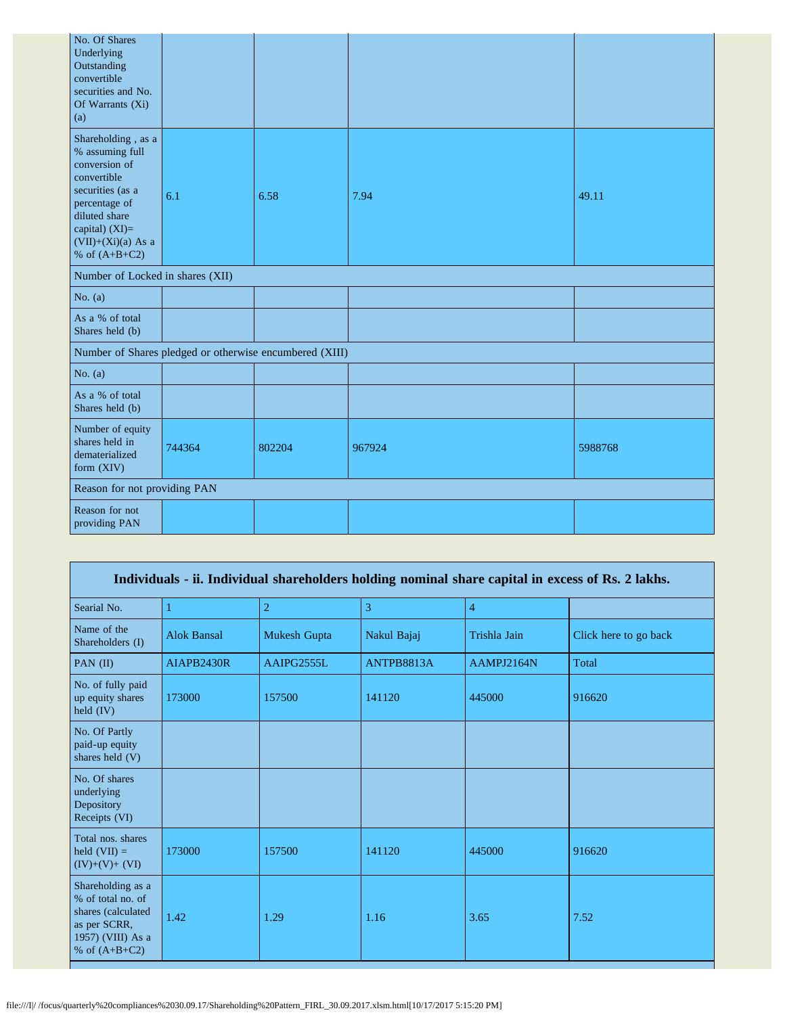| No. Of Shares<br>Underlying<br>Outstanding<br>convertible<br>securities and No.<br>Of Warrants (Xi)<br>(a)                                                                               |        |                                                         |        |         |
|------------------------------------------------------------------------------------------------------------------------------------------------------------------------------------------|--------|---------------------------------------------------------|--------|---------|
| Shareholding, as a<br>% assuming full<br>conversion of<br>convertible<br>securities (as a<br>percentage of<br>diluted share<br>capital) (XI)=<br>$(VII)+(Xi)(a)$ As a<br>% of $(A+B+C2)$ | 6.1    | 6.58                                                    | 7.94   | 49.11   |
| Number of Locked in shares (XII)                                                                                                                                                         |        |                                                         |        |         |
| No. $(a)$                                                                                                                                                                                |        |                                                         |        |         |
| As a % of total<br>Shares held (b)                                                                                                                                                       |        |                                                         |        |         |
|                                                                                                                                                                                          |        | Number of Shares pledged or otherwise encumbered (XIII) |        |         |
| No. $(a)$                                                                                                                                                                                |        |                                                         |        |         |
| As a % of total<br>Shares held (b)                                                                                                                                                       |        |                                                         |        |         |
| Number of equity<br>shares held in<br>dematerialized<br>form (XIV)                                                                                                                       | 744364 | 802204                                                  | 967924 | 5988768 |
| Reason for not providing PAN                                                                                                                                                             |        |                                                         |        |         |
| Reason for not<br>providing PAN                                                                                                                                                          |        |                                                         |        |         |

|                                                                                                                      |                    |                |             |                | Individuals - ii. Individual shareholders holding nominal share capital in excess of Rs. 2 lakhs. |
|----------------------------------------------------------------------------------------------------------------------|--------------------|----------------|-------------|----------------|---------------------------------------------------------------------------------------------------|
| Searial No.                                                                                                          |                    | $\overline{2}$ | 3           | $\overline{4}$ |                                                                                                   |
| Name of the<br>Shareholders (I)                                                                                      | <b>Alok Bansal</b> | Mukesh Gupta   | Nakul Bajaj | Trishla Jain   | Click here to go back                                                                             |
| PAN $(II)$                                                                                                           | <b>AIAPB2430R</b>  | AAIPG2555L     | ANTPB8813A  | AAMPJ2164N     | Total                                                                                             |
| No. of fully paid<br>up equity shares<br>held $(IV)$                                                                 | 173000             | 157500         | 141120      | 445000         | 916620                                                                                            |
| No. Of Partly<br>paid-up equity<br>shares held (V)                                                                   |                    |                |             |                |                                                                                                   |
| No. Of shares<br>underlying<br>Depository<br>Receipts (VI)                                                           |                    |                |             |                |                                                                                                   |
| Total nos. shares<br>held $(VII) =$<br>$(IV)+(V)+(VI)$                                                               | 173000             | 157500         | 141120      | 445000         | 916620                                                                                            |
| Shareholding as a<br>% of total no. of<br>shares (calculated<br>as per SCRR,<br>1957) (VIII) As a<br>% of $(A+B+C2)$ | 1.42               | 1.29           | 1.16        | 3.65           | 7.52                                                                                              |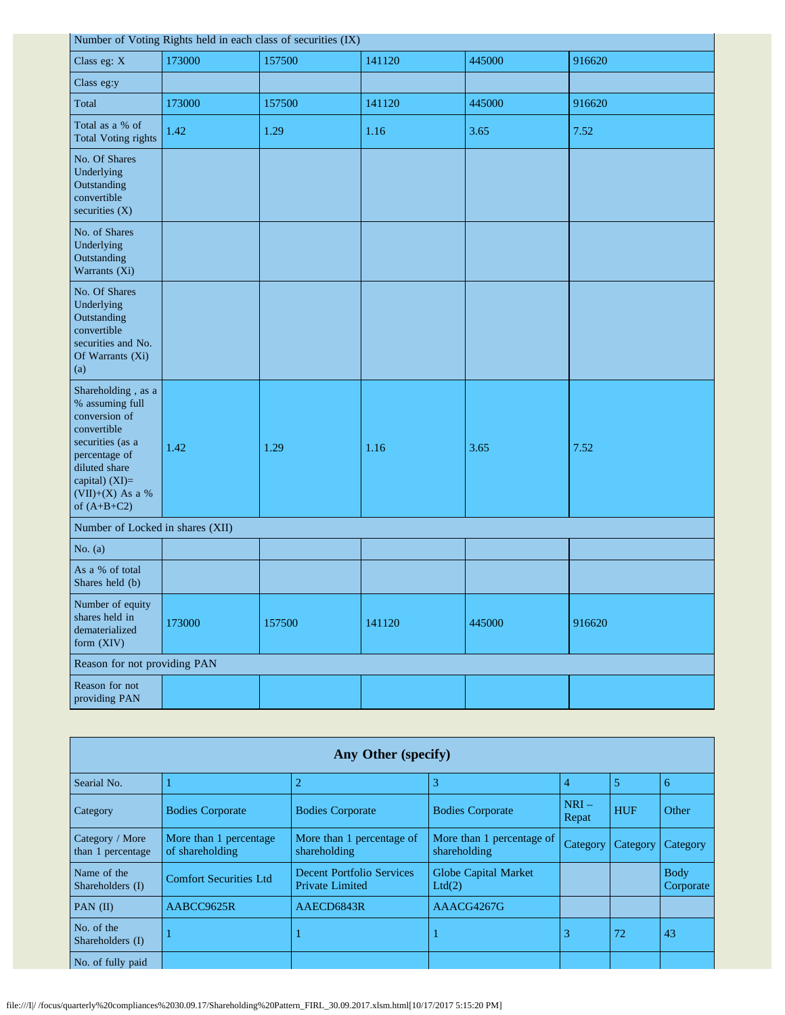|                                                                                                                                                                                      | Number of Voting Rights held in each class of securities (IX) |        |        |        |        |  |
|--------------------------------------------------------------------------------------------------------------------------------------------------------------------------------------|---------------------------------------------------------------|--------|--------|--------|--------|--|
| Class eg: X                                                                                                                                                                          | 173000                                                        | 157500 | 141120 | 445000 | 916620 |  |
| Class eg:y                                                                                                                                                                           |                                                               |        |        |        |        |  |
| Total                                                                                                                                                                                | 173000                                                        | 157500 | 141120 | 445000 | 916620 |  |
| Total as a % of<br>Total Voting rights                                                                                                                                               | 1.42                                                          | 1.29   | 1.16   | 3.65   | 7.52   |  |
| No. Of Shares<br>Underlying<br>Outstanding<br>convertible<br>securities (X)                                                                                                          |                                                               |        |        |        |        |  |
| No. of Shares<br>Underlying<br>Outstanding<br>Warrants (Xi)                                                                                                                          |                                                               |        |        |        |        |  |
| No. Of Shares<br>Underlying<br>Outstanding<br>convertible<br>securities and No.<br>Of Warrants (Xi)<br>(a)                                                                           |                                                               |        |        |        |        |  |
| Shareholding, as a<br>% assuming full<br>conversion of<br>convertible<br>securities (as a<br>percentage of<br>diluted share<br>capital) (XI)=<br>$(VII)+(X)$ As a %<br>of $(A+B+C2)$ | 1.42                                                          | 1.29   | 1.16   | 3.65   | 7.52   |  |
| Number of Locked in shares (XII)                                                                                                                                                     |                                                               |        |        |        |        |  |
| No. $(a)$                                                                                                                                                                            |                                                               |        |        |        |        |  |
| As a % of total<br>Shares held (b)                                                                                                                                                   |                                                               |        |        |        |        |  |
| Number of equity<br>shares held in<br>dematerialized<br>form (XIV)                                                                                                                   | 173000                                                        | 157500 | 141120 | 445000 | 916620 |  |
| Reason for not providing PAN                                                                                                                                                         |                                                               |        |        |        |        |  |
| Reason for not<br>providing PAN                                                                                                                                                      |                                                               |        |        |        |        |  |

| Any Other (specify)                  |                                           |                                                            |                                           |                 |            |                          |
|--------------------------------------|-------------------------------------------|------------------------------------------------------------|-------------------------------------------|-----------------|------------|--------------------------|
| Searial No.                          |                                           | $\overline{2}$                                             | 3                                         | 4               | 5          | 6                        |
| Category                             | <b>Bodies Corporate</b>                   | <b>Bodies Corporate</b>                                    | <b>Bodies Corporate</b>                   | $NRI-$<br>Repat | <b>HUF</b> | Other                    |
| Category / More<br>than 1 percentage | More than 1 percentage<br>of shareholding | More than 1 percentage of<br>shareholding                  | More than 1 percentage of<br>shareholding | Category        | Category   | Category                 |
| Name of the<br>Shareholders (I)      | <b>Comfort Securities Ltd</b>             | <b>Decent Portfolio Services</b><br><b>Private Limited</b> | Globe Capital Market<br>Ltd(2)            |                 |            | <b>Body</b><br>Corporate |
| PAN $(II)$                           | AABCC9625R                                | AAECD6843R                                                 | AAACG4267G                                |                 |            |                          |
| No. of the<br>Shareholders (I)       |                                           |                                                            |                                           | 3               | 72         | 43                       |
| No. of fully paid                    |                                           |                                                            |                                           |                 |            |                          |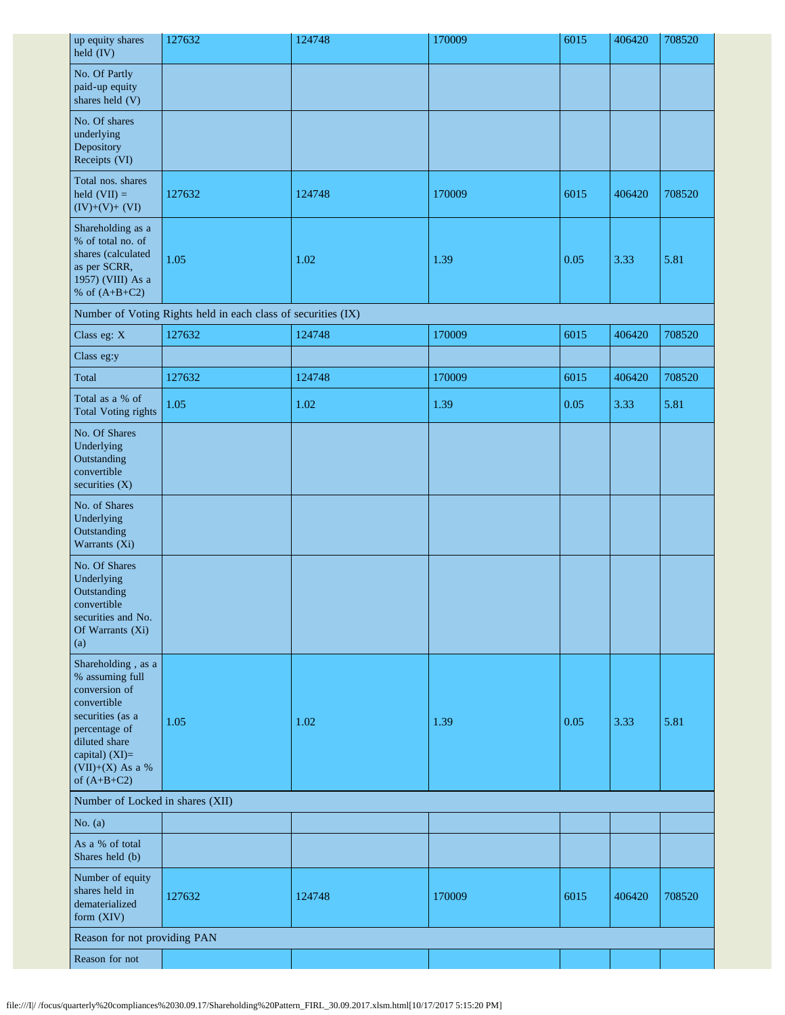| up equity shares<br>$\text{held (IV)}$                                                                                                                                             | 127632                                                        | 124748 | 170009 | 6015 | 406420 | 708520 |
|------------------------------------------------------------------------------------------------------------------------------------------------------------------------------------|---------------------------------------------------------------|--------|--------|------|--------|--------|
| No. Of Partly<br>paid-up equity<br>shares held (V)                                                                                                                                 |                                                               |        |        |      |        |        |
| No. Of shares<br>underlying<br>Depository<br>Receipts (VI)                                                                                                                         |                                                               |        |        |      |        |        |
| Total nos. shares<br>held $(VII) =$<br>$(IV)+(V)+(VI)$                                                                                                                             | 127632                                                        | 124748 | 170009 | 6015 | 406420 | 708520 |
| Shareholding as a<br>% of total no. of<br>shares (calculated<br>as per SCRR,<br>1957) (VIII) As a<br>% of $(A+B+C2)$                                                               | 1.05                                                          | 1.02   | 1.39   | 0.05 | 3.33   | 5.81   |
|                                                                                                                                                                                    | Number of Voting Rights held in each class of securities (IX) |        |        |      |        |        |
| Class eg: X                                                                                                                                                                        | 127632                                                        | 124748 | 170009 | 6015 | 406420 | 708520 |
| Class eg:y                                                                                                                                                                         |                                                               |        |        |      |        |        |
| Total                                                                                                                                                                              | 127632                                                        | 124748 | 170009 | 6015 | 406420 | 708520 |
| Total as a % of<br><b>Total Voting rights</b>                                                                                                                                      | 1.05                                                          | 1.02   | 1.39   | 0.05 | 3.33   | 5.81   |
| No. Of Shares<br>Underlying<br>Outstanding<br>convertible<br>securities (X)                                                                                                        |                                                               |        |        |      |        |        |
| No. of Shares<br>Underlying<br>Outstanding<br>Warrants (Xi)                                                                                                                        |                                                               |        |        |      |        |        |
| No. Of Shares<br>Underlying<br>Outstanding<br>convertible<br>securities and No.<br>Of Warrants (Xi)<br>(a)                                                                         |                                                               |        |        |      |        |        |
| Shareholding, as a<br>% assuming full<br>conversion of<br>convertible<br>securities (as a<br>percentage of<br>diluted share<br>capital) (XI)=<br>(VII)+(X) As a %<br>of $(A+B+C2)$ | 1.05                                                          | 1.02   | 1.39   | 0.05 | 3.33   | 5.81   |
| Number of Locked in shares (XII)                                                                                                                                                   |                                                               |        |        |      |        |        |
| No. $(a)$                                                                                                                                                                          |                                                               |        |        |      |        |        |
| As a % of total<br>Shares held (b)                                                                                                                                                 |                                                               |        |        |      |        |        |
| Number of equity<br>shares held in<br>dematerialized<br>form (XIV)                                                                                                                 | 127632                                                        | 124748 | 170009 | 6015 | 406420 | 708520 |
| Reason for not providing PAN                                                                                                                                                       |                                                               |        |        |      |        |        |
| Reason for not                                                                                                                                                                     |                                                               |        |        |      |        |        |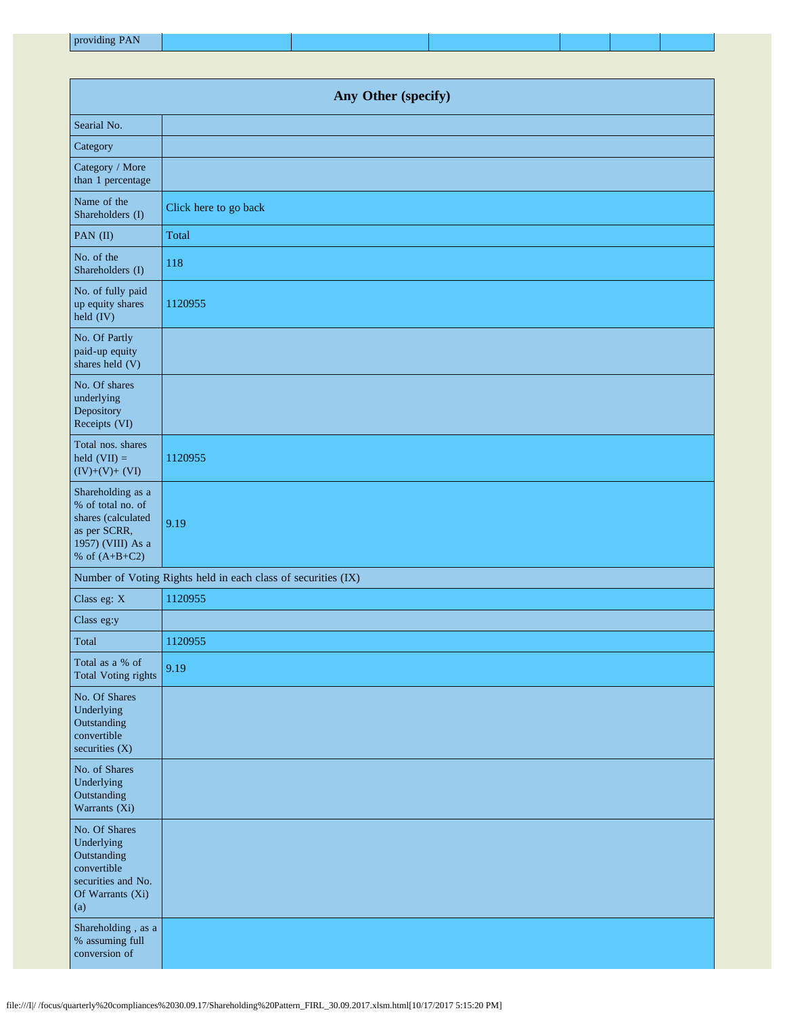| providing PAN |  |  |  |
|---------------|--|--|--|
|               |  |  |  |

| Any Other (specify)                                                                                                  |                                                               |  |
|----------------------------------------------------------------------------------------------------------------------|---------------------------------------------------------------|--|
| Searial No.                                                                                                          |                                                               |  |
| Category                                                                                                             |                                                               |  |
| Category / More<br>than 1 percentage                                                                                 |                                                               |  |
| Name of the<br>Shareholders (I)                                                                                      | Click here to go back                                         |  |
| PAN (II)                                                                                                             | Total                                                         |  |
| No. of the<br>Shareholders (I)                                                                                       | 118                                                           |  |
| No. of fully paid<br>up equity shares<br>held (IV)                                                                   | 1120955                                                       |  |
| No. Of Partly<br>paid-up equity<br>shares held (V)                                                                   |                                                               |  |
| No. Of shares<br>underlying<br>Depository<br>Receipts (VI)                                                           |                                                               |  |
| Total nos. shares<br>held $(VII) =$<br>$(IV)+(V)+(VI)$                                                               | 1120955                                                       |  |
| Shareholding as a<br>% of total no. of<br>shares (calculated<br>as per SCRR,<br>1957) (VIII) As a<br>% of $(A+B+C2)$ | 9.19                                                          |  |
|                                                                                                                      | Number of Voting Rights held in each class of securities (IX) |  |
| Class eg: X                                                                                                          | 1120955                                                       |  |
| Class eg:y                                                                                                           |                                                               |  |
| Total                                                                                                                | 1120955                                                       |  |
| Total as a % of<br><b>Total Voting rights</b>                                                                        | 9.19                                                          |  |
| No. Of Shares<br>Underlying<br>Outstanding<br>convertible<br>securities $(X)$                                        |                                                               |  |
| No. of Shares<br>Underlying<br>Outstanding<br>Warrants (Xi)                                                          |                                                               |  |
| No. Of Shares<br>Underlying<br>Outstanding<br>convertible<br>securities and No.<br>Of Warrants (Xi)<br>(a)           |                                                               |  |
| Shareholding, as a<br>% assuming full<br>conversion of                                                               |                                                               |  |